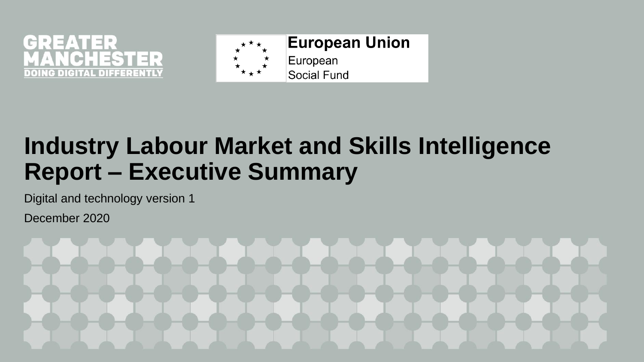



## **Industry Labour Market and Skills Intelligence Report – Executive Summary**

Digital and technology version 1

December 2020

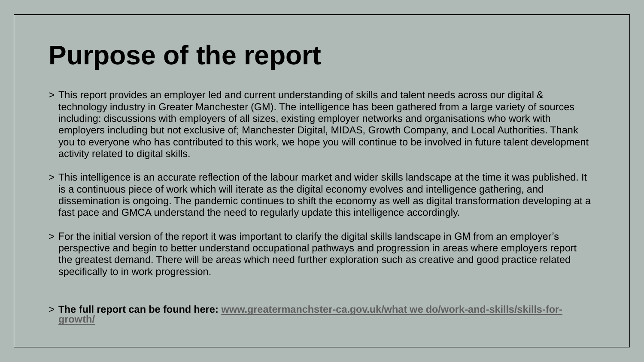## **Purpose of the report**

- > This report provides an employer led and current understanding of skills and talent needs across our digital & technology industry in Greater Manchester (GM). The intelligence has been gathered from a large variety of sources including: discussions with employers of all sizes, existing employer networks and organisations who work with employers including but not exclusive of; Manchester Digital, MIDAS, Growth Company, and Local Authorities. Thank you to everyone who has contributed to this work, we hope you will continue to be involved in future talent development activity related to digital skills.
- > This intelligence is an accurate reflection of the labour market and wider skills landscape at the time it was published. It is a continuous piece of work which will iterate as the digital economy evolves and intelligence gathering, and dissemination is ongoing. The pandemic continues to shift the economy as well as digital transformation developing at a fast pace and GMCA understand the need to regularly update this intelligence accordingly.
- > For the initial version of the report it was important to clarify the digital skills landscape in GM from an employer's perspective and begin to better understand occupational pathways and progression in areas where employers report the greatest demand. There will be areas which need further exploration such as creative and good practice related specifically to in work progression.
- > **[The full report can be found here: www.greatermanchster-ca.gov.uk/what we do/work-and-skills/skills-for](http://www.greatermanchster-ca.gov.uk/what%20we%20do/work-and-skills/skills-for-growth/)growth/**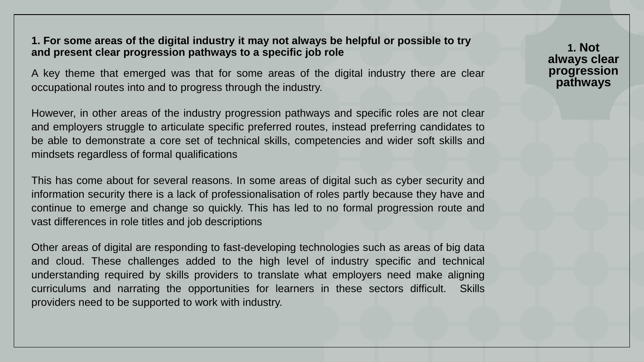### **1. For some areas of the digital industry it may not always be helpful or possible to try and present clear progression pathways to a specific job role**

A key theme that emerged was that for some areas of the digital industry there are clear occupational routes into and to progress through the industry.

However, in other areas of the industry progression pathways and specific roles are not clear and employers struggle to articulate specific preferred routes, instead preferring candidates to be able to demonstrate a core set of technical skills, competencies and wider soft skills and mindsets regardless of formal qualifications

This has come about for several reasons. In some areas of digital such as cyber security and information security there is a lack of professionalisation of roles partly because they have and continue to emerge and change so quickly. This has led to no formal progression route and vast differences in role titles and job descriptions

Other areas of digital are responding to fast-developing technologies such as areas of big data and cloud. These challenges added to the high level of industry specific and technical understanding required by skills providers to translate what employers need make aligning curriculums and narrating the opportunities for learners in these sectors difficult. Skills providers need to be supported to work with industry.

**1. Not always clear progression pathways**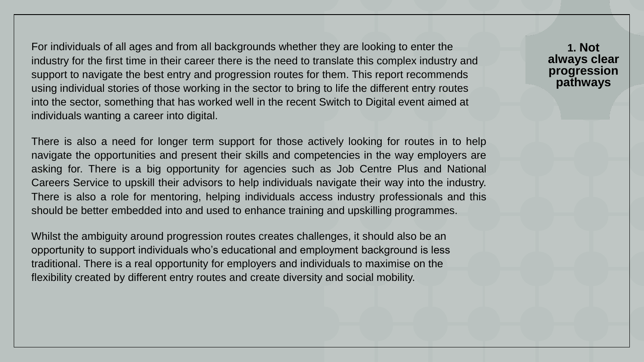For individuals of all ages and from all backgrounds whether they are looking to enter the industry for the first time in their career there is the need to translate this complex industry and support to navigate the best entry and progression routes for them. This report recommends using individual stories of those working in the sector to bring to life the different entry routes into the sector, something that has worked well in the recent Switch to Digital event aimed at individuals wanting a career into digital.

There is also a need for longer term support for those actively looking for routes in to help navigate the opportunities and present their skills and competencies in the way employers are asking for. There is a big opportunity for agencies such as Job Centre Plus and National Careers Service to upskill their advisors to help individuals navigate their way into the industry. There is also a role for mentoring, helping individuals access industry professionals and this should be better embedded into and used to enhance training and upskilling programmes.

Whilst the ambiguity around progression routes creates challenges, it should also be an opportunity to support individuals who's educational and employment background is less traditional. There is a real opportunity for employers and individuals to maximise on the flexibility created by different entry routes and create diversity and social mobility.

**1. Not always clear progression pathways**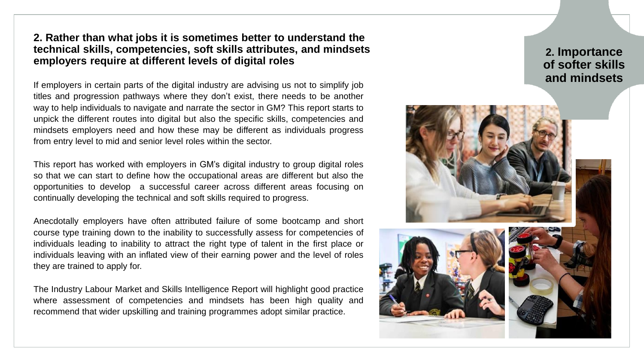## **2. Rather than what jobs it is sometimes better to understand the technical skills, competencies, soft skills attributes, and mindsets employers require at different levels of digital roles**

If employers in certain parts of the digital industry are advising us not to simplify job titles and progression pathways where they don't exist, there needs to be another way to help individuals to navigate and narrate the sector in GM? This report starts to unpick the different routes into digital but also the specific skills, competencies and mindsets employers need and how these may be different as individuals progress from entry level to mid and senior level roles within the sector.

This report has worked with employers in GM's digital industry to group digital roles so that we can start to define how the occupational areas are different but also the opportunities to develop a successful career across different areas focusing on continually developing the technical and soft skills required to progress.

Anecdotally employers have often attributed failure of some bootcamp and short course type training down to the inability to successfully assess for competencies of individuals leading to inability to attract the right type of talent in the first place or individuals leaving with an inflated view of their earning power and the level of roles they are trained to apply for.

The Industry Labour Market and Skills Intelligence Report will highlight good practice where assessment of competencies and mindsets has been high quality and recommend that wider upskilling and training programmes adopt similar practice.

# **2. Importance of softer skills and mindsets**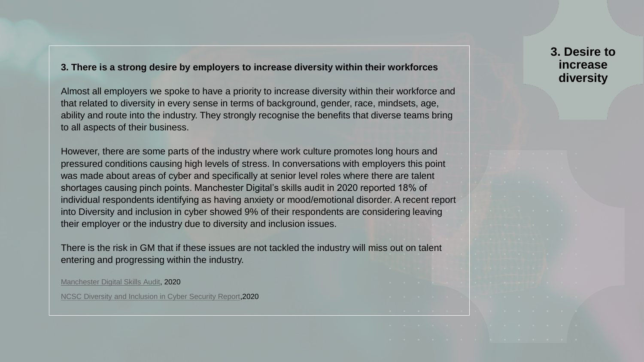#### **3. There is a strong desire by employers to increase diversity within their workforces**

Almost all employers we spoke to have a priority to increase diversity within their workforce and that related to diversity in every sense in terms of background, gender, race, mindsets, age, ability and route into the industry. They strongly recognise the benefits that diverse teams bring to all aspects of their business.

However, there are some parts of the industry where work culture promotes long hours and pressured conditions causing high levels of stress. In conversations with employers this point was made about areas of cyber and specifically at senior level roles where there are talent shortages causing pinch points. Manchester Digital's skills audit in 2020 reported 18% of individual respondents identifying as having anxiety or mood/emotional disorder. A recent report into Diversity and inclusion in cyber showed 9% of their respondents are considering leaving their employer or the industry due to diversity and inclusion issues.

There is the risk in GM that if these issues are not tackled the industry will miss out on talent entering and progressing within the industry.

[Manchester Digital Skills Audit,](https://www.manchesterdigital.com/post/manchester-digital/skills-audit-2020) 2020

[NCSC Diversity and Inclusion in Cyber Security Report](https://www.ncsc.gov.uk/report/diversity-and-inclusion-in-cyber-security-report),2020

**3. Desire to increase diversity**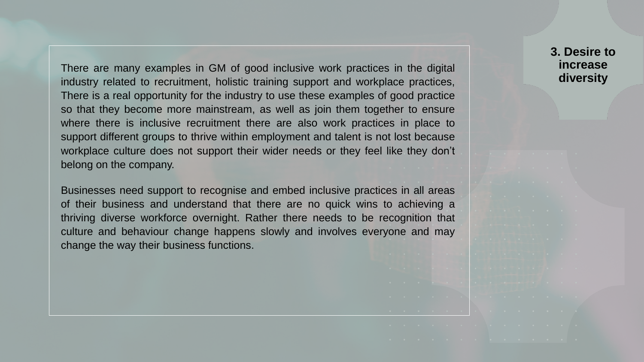There are many examples in GM of good inclusive work practices in the digital industry related to recruitment, holistic training support and workplace practices, There is a real opportunity for the industry to use these examples of good practice so that they become more mainstream, as well as join them together to ensure where there is inclusive recruitment there are also work practices in place to support different groups to thrive within employment and talent is not lost because workplace culture does not support their wider needs or they feel like they don't belong on the company.

Businesses need support to recognise and embed inclusive practices in all areas of their business and understand that there are no quick wins to achieving a thriving diverse workforce overnight. Rather there needs to be recognition that culture and behaviour change happens slowly and involves everyone and may change the way their business functions.

## **3. Desire to increase diversity**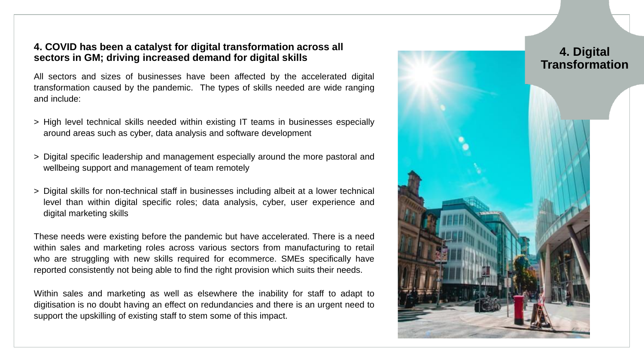#### **4. COVID has been a catalyst for digital transformation across all sectors in GM; driving increased demand for digital skills**

All sectors and sizes of businesses have been affected by the accelerated digital transformation caused by the pandemic. The types of skills needed are wide ranging and include:

- > High level technical skills needed within existing IT teams in businesses especially around areas such as cyber, data analysis and software development
- > Digital specific leadership and management especially around the more pastoral and wellbeing support and management of team remotely
- > Digital skills for non-technical staff in businesses including albeit at a lower technical level than within digital specific roles; data analysis, cyber, user experience and digital marketing skills

These needs were existing before the pandemic but have accelerated. There is a need within sales and marketing roles across various sectors from manufacturing to retail who are struggling with new skills required for ecommerce. SMEs specifically have reported consistently not being able to find the right provision which suits their needs.

Within sales and marketing as well as elsewhere the inability for staff to adapt to digitisation is no doubt having an effect on redundancies and there is an urgent need to support the upskilling of existing staff to stem some of this impact.

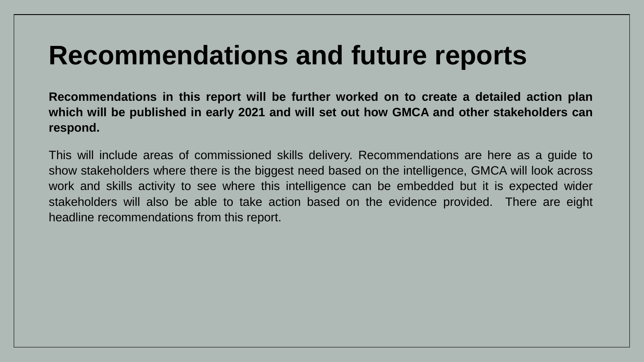# **Recommendations and future reports**

**Recommendations in this report will be further worked on to create a detailed action plan which will be published in early 2021 and will set out how GMCA and other stakeholders can respond.**

This will include areas of commissioned skills delivery. Recommendations are here as a guide to show stakeholders where there is the biggest need based on the intelligence, GMCA will look across work and skills activity to see where this intelligence can be embedded but it is expected wider stakeholders will also be able to take action based on the evidence provided. There are eight headline recommendations from this report.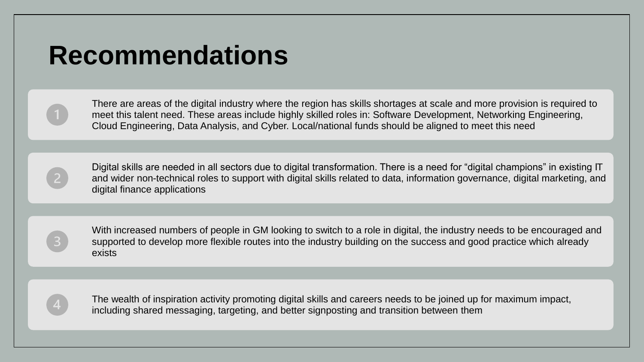## **Recommendations**

There are areas of the digital industry where the region has skills shortages at scale and more provision is required to meet this talent need. These areas include highly skilled roles in: Software Development, Networking Engineering, Cloud Engineering, Data Analysis, and Cyber. Local/national funds should be aligned to meet this need

Digital skills are needed in all sectors due to digital transformation. There is a need for "digital champions" in existing IT and wider non-technical roles to support with digital skills related to data, information governance, digital marketing, and digital finance applications

With increased numbers of people in GM looking to switch to a role in digital, the industry needs to be encouraged and supported to develop more flexible routes into the industry building on the success and good practice which already exists

The wealth of inspiration activity promoting digital skills and careers needs to be joined up for maximum impact, including shared messaging, targeting, and better signposting and transition between them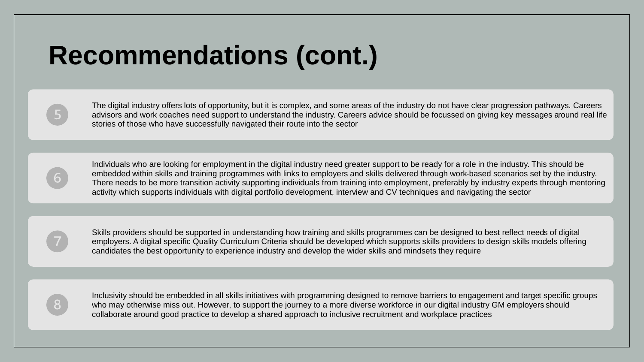# **Recommendations (cont.)**

The digital industry offers lots of opportunity, but it is complex, and some areas of the industry do not have clear progression pathways. Careers advisors and work coaches need support to understand the industry. Careers advice should be focussed on giving key messages around real life stories of those who have successfully navigated their route into the sector

Individuals who are looking for employment in the digital industry need greater support to be ready for a role in the industry. This should be embedded within skills and training programmes with links to employers and skills delivered through work-based scenarios set by the industry. There needs to be more transition activity supporting individuals from training into employment, preferably by industry experts through mentoring activity which supports individuals with digital portfolio development, interview and CV techniques and navigating the sector

Skills providers should be supported in understanding how training and skills programmes can be designed to best reflect needs of digital employers. A digital specific Quality Curriculum Criteria should be developed which supports skills providers to design skills models offering candidates the best opportunity to experience industry and develop the wider skills and mindsets they require



Inclusivity should be embedded in all skills initiatives with programming designed to remove barriers to engagement and target specific groups who may otherwise miss out. However, to support the journey to a more diverse workforce in our digital industry GM employers should collaborate around good practice to develop a shared approach to inclusive recruitment and workplace practices